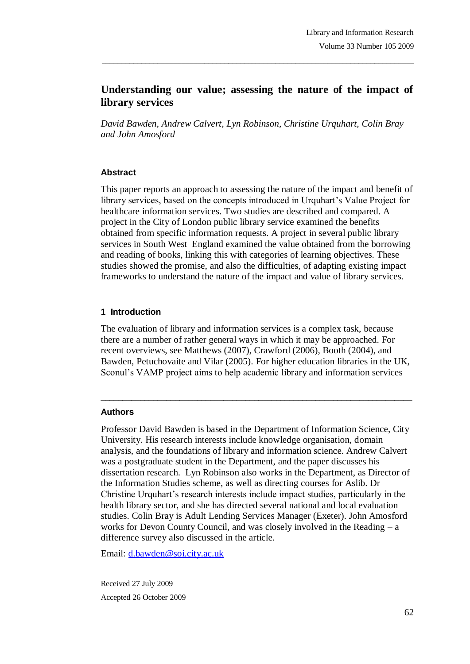# **Understanding our value; assessing the nature of the impact of library services**

\_\_\_\_\_\_\_\_\_\_\_\_\_\_\_\_\_\_\_\_\_\_\_\_\_\_\_\_\_\_\_\_\_\_\_\_\_\_\_\_\_\_\_\_\_\_\_\_\_\_\_\_\_\_\_\_\_\_\_\_\_\_\_\_\_\_\_\_\_\_\_\_\_\_\_\_\_\_\_

*David Bawden, Andrew Calvert, Lyn Robinson, Christine Urquhart, Colin Bray and John Amosford*

#### **Abstract**

This paper reports an approach to assessing the nature of the impact and benefit of library services, based on the concepts introduced in Urquhart's Value Project for healthcare information services. Two studies are described and compared. A project in the City of London public library service examined the benefits obtained from specific information requests. A project in several public library services in South West England examined the value obtained from the borrowing and reading of books, linking this with categories of learning objectives. These studies showed the promise, and also the difficulties, of adapting existing impact frameworks to understand the nature of the impact and value of library services.

## **1 Introduction**

The evaluation of library and information services is a complex task, because there are a number of rather general ways in which it may be approached. For recent overviews, see Matthews (2007), Crawford (2006), Booth (2004), and Bawden, Petuchovaite and Vilar (2005). For higher education libraries in the UK, Sconul's VAMP project aims to help academic library and information services

\_\_\_\_\_\_\_\_\_\_\_\_\_\_\_\_\_\_\_\_\_\_\_\_\_\_\_\_\_\_\_\_\_\_\_\_\_\_\_\_\_\_\_\_\_\_\_\_\_\_\_\_\_\_\_\_\_\_\_\_\_\_\_\_\_\_\_\_\_\_\_

#### **Authors**

Professor David Bawden is based in the Department of Information Science, City University. His research interests include knowledge organisation, domain analysis, and the foundations of library and information science. Andrew Calvert was a postgraduate student in the Department, and the paper discusses his dissertation research. Lyn Robinson also works in the Department, as Director of the Information Studies scheme, as well as directing courses for Aslib. Dr Christine Urquhart's research interests include impact studies, particularly in the health library sector, and she has directed several national and local evaluation studies. Colin Bray is Adult Lending Services Manager (Exeter). John Amosford works for Devon County Council, and was closely involved in the Reading – a difference survey also discussed in the article.

Email: d.bawden@soi.city.ac.uk

Received 27 July 2009 Accepted 26 October 2009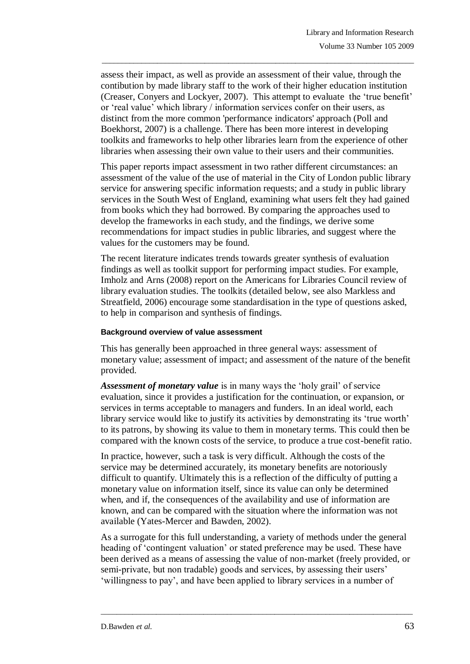assess their impact, as well as provide an assessment of their value, through the contibution by made library staff to the work of their higher education institution (Creaser, Conyers and Lockyer, 2007). This attempt to evaluate the 'true benefit' or 'real value' which library / information services confer on their users, as distinct from the more common 'performance indicators' approach (Poll and Boekhorst, 2007) is a challenge. There has been more interest in developing toolkits and frameworks to help other libraries learn from the experience of other libraries when assessing their own value to their users and their communities.

\_\_\_\_\_\_\_\_\_\_\_\_\_\_\_\_\_\_\_\_\_\_\_\_\_\_\_\_\_\_\_\_\_\_\_\_\_\_\_\_\_\_\_\_\_\_\_\_\_\_\_\_\_\_\_\_\_\_\_\_\_\_\_\_\_\_\_\_\_\_\_\_\_\_\_\_\_\_\_

This paper reports impact assessment in two rather different circumstances: an assessment of the value of the use of material in the City of London public library service for answering specific information requests; and a study in public library services in the South West of England, examining what users felt they had gained from books which they had borrowed. By comparing the approaches used to develop the frameworks in each study, and the findings, we derive some recommendations for impact studies in public libraries, and suggest where the values for the customers may be found.

The recent literature indicates trends towards greater synthesis of evaluation findings as well as toolkit support for performing impact studies. For example, Imholz and Arns (2008) report on the Americans for Libraries Council review of library evaluation studies. The toolkits (detailed below, see also Markless and Streatfield, 2006) encourage some standardisation in the type of questions asked, to help in comparison and synthesis of findings.

#### **Background overview of value assessment**

This has generally been approached in three general ways: assessment of monetary value; assessment of impact; and assessment of the nature of the benefit provided.

*Assessment of monetary value* is in many ways the 'holy grail' of service evaluation, since it provides a justification for the continuation, or expansion, or services in terms acceptable to managers and funders. In an ideal world, each library service would like to justify its activities by demonstrating its 'true worth' to its patrons, by showing its value to them in monetary terms. This could then be compared with the known costs of the service, to produce a true cost-benefit ratio.

In practice, however, such a task is very difficult. Although the costs of the service may be determined accurately, its monetary benefits are notoriously difficult to quantify. Ultimately this is a reflection of the difficulty of putting a monetary value on information itself, since its value can only be determined when, and if, the consequences of the availability and use of information are known, and can be compared with the situation where the information was not available (Yates-Mercer and Bawden, 2002).

As a surrogate for this full understanding, a variety of methods under the general heading of 'contingent valuation' or stated preference may be used. These have been derived as a means of assessing the value of non-market (freely provided, or semi-private, but non tradable) goods and services, by assessing their users' 'willingness to pay', and have been applied to library services in a number of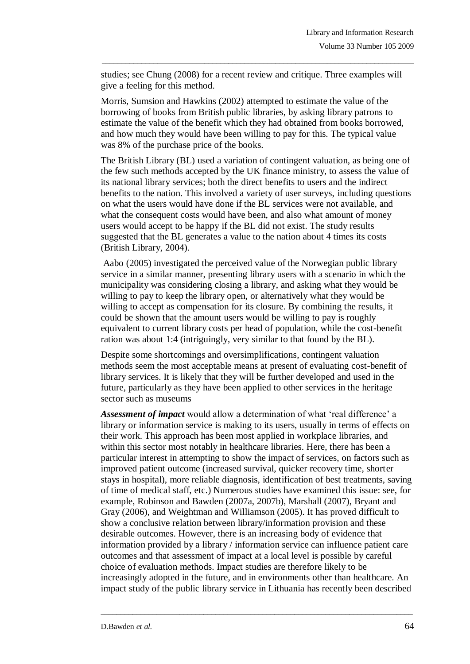studies; see Chung (2008) for a recent review and critique. Three examples will give a feeling for this method.

\_\_\_\_\_\_\_\_\_\_\_\_\_\_\_\_\_\_\_\_\_\_\_\_\_\_\_\_\_\_\_\_\_\_\_\_\_\_\_\_\_\_\_\_\_\_\_\_\_\_\_\_\_\_\_\_\_\_\_\_\_\_\_\_\_\_\_\_\_\_\_\_\_\_\_\_\_\_\_

Morris, Sumsion and Hawkins (2002) attempted to estimate the value of the borrowing of books from British public libraries, by asking library patrons to estimate the value of the benefit which they had obtained from books borrowed, and how much they would have been willing to pay for this. The typical value was 8% of the purchase price of the books.

The British Library (BL) used a variation of contingent valuation, as being one of the few such methods accepted by the UK finance ministry, to assess the value of its national library services; both the direct benefits to users and the indirect benefits to the nation. This involved a variety of user surveys, including questions on what the users would have done if the BL services were not available, and what the consequent costs would have been, and also what amount of money users would accept to be happy if the BL did not exist. The study results suggested that the BL generates a value to the nation about 4 times its costs (British Library, 2004).

Aabo (2005) investigated the perceived value of the Norwegian public library service in a similar manner, presenting library users with a scenario in which the municipality was considering closing a library, and asking what they would be willing to pay to keep the library open, or alternatively what they would be willing to accept as compensation for its closure. By combining the results, it could be shown that the amount users would be willing to pay is roughly equivalent to current library costs per head of population, while the cost-benefit ration was about 1:4 (intriguingly, very similar to that found by the BL).

Despite some shortcomings and oversimplifications, contingent valuation methods seem the most acceptable means at present of evaluating cost-benefit of library services. It is likely that they will be further developed and used in the future, particularly as they have been applied to other services in the heritage sector such as museums

*Assessment of impact* would allow a determination of what 'real difference' a library or information service is making to its users, usually in terms of effects on their work. This approach has been most applied in workplace libraries, and within this sector most notably in healthcare libraries. Here, there has been a particular interest in attempting to show the impact of services, on factors such as improved patient outcome (increased survival, quicker recovery time, shorter stays in hospital), more reliable diagnosis, identification of best treatments, saving of time of medical staff, etc.) Numerous studies have examined this issue: see, for example, Robinson and Bawden (2007a, 2007b), Marshall (2007), Bryant and Gray (2006), and Weightman and Williamson (2005). It has proved difficult to show a conclusive relation between library/information provision and these desirable outcomes. However, there is an increasing body of evidence that information provided by a library / information service can influence patient care outcomes and that assessment of impact at a local level is possible by careful choice of evaluation methods. Impact studies are therefore likely to be increasingly adopted in the future, and in environments other than healthcare. An impact study of the public library service in Lithuania has recently been described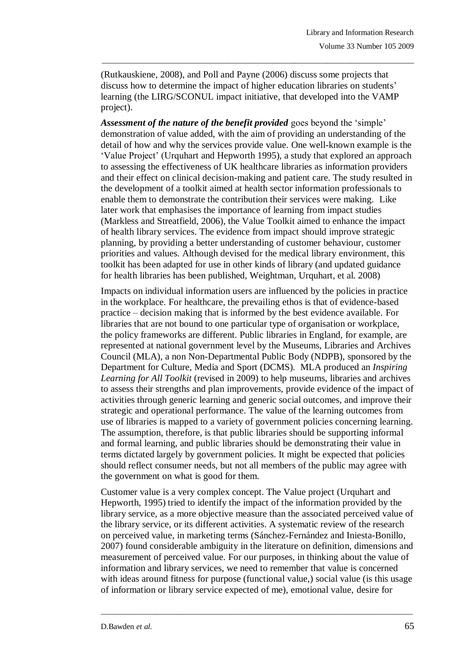(Rutkauskiene, 2008), and Poll and Payne (2006) discuss some projects that discuss how to determine the impact of higher education libraries on students' learning (the LIRG/SCONUL impact initiative, that developed into the VAMP project).

\_\_\_\_\_\_\_\_\_\_\_\_\_\_\_\_\_\_\_\_\_\_\_\_\_\_\_\_\_\_\_\_\_\_\_\_\_\_\_\_\_\_\_\_\_\_\_\_\_\_\_\_\_\_\_\_\_\_\_\_\_\_\_\_\_\_\_\_\_\_\_\_\_\_\_\_\_\_\_

*Assessment of the nature of the benefit provided* goes beyond the 'simple' demonstration of value added, with the aim of providing an understanding of the detail of how and why the services provide value. One well-known example is the 'Value Project' (Urquhart and Hepworth 1995), a study that explored an approach to assessing the effectiveness of UK healthcare libraries as information providers and their effect on clinical decision-making and patient care. The study resulted in the development of a toolkit aimed at health sector information professionals to enable them to demonstrate the contribution their services were making. Like later work that emphasises the importance of learning from impact studies (Markless and Streatfield, 2006), the Value Toolkit aimed to enhance the impact of health library services. The evidence from impact should improve strategic planning, by providing a better understanding of customer behaviour, customer priorities and values. Although devised for the medical library environment, this toolkit has been adapted for use in other kinds of library (and updated guidance for health libraries has been published, Weightman, Urquhart, et al. 2008)

Impacts on individual information users are influenced by the policies in practice in the workplace. For healthcare, the prevailing ethos is that of evidence-based practice – decision making that is informed by the best evidence available. For libraries that are not bound to one particular type of organisation or workplace, the policy frameworks are different. Public libraries in England, for example, are represented at national government level by the Museums, Libraries and Archives Council (MLA), a non Non-Departmental Public Body (NDPB), sponsored by the Department for Culture, Media and Sport (DCMS). MLA produced an *Inspiring Learning for All Toolkit* (revised in 2009) to help museums, libraries and archives to assess their strengths and plan improvements, provide evidence of the impact of activities through generic learning and generic social outcomes, and improve their strategic and operational performance. The value of the learning outcomes from use of libraries is mapped to a variety of government policies concerning learning. The assumption, therefore, is that public libraries should be supporting informal and formal learning, and public libraries should be demonstrating their value in terms dictated largely by government policies. It might be expected that policies should reflect consumer needs, but not all members of the public may agree with the government on what is good for them.

Customer value is a very complex concept. The Value project (Urquhart and Hepworth, 1995) tried to identify the impact of the information provided by the library service, as a more objective measure than the associated perceived value of the library service, or its different activities. A systematic review of the research on perceived value, in marketing terms (Sánchez-Fernández and Iniesta-Bonillo, 2007) found considerable ambiguity in the literature on definition, dimensions and measurement of perceived value. For our purposes, in thinking about the value of information and library services, we need to remember that value is concerned with ideas around fitness for purpose (functional value,) social value (is this usage of information or library service expected of me), emotional value, desire for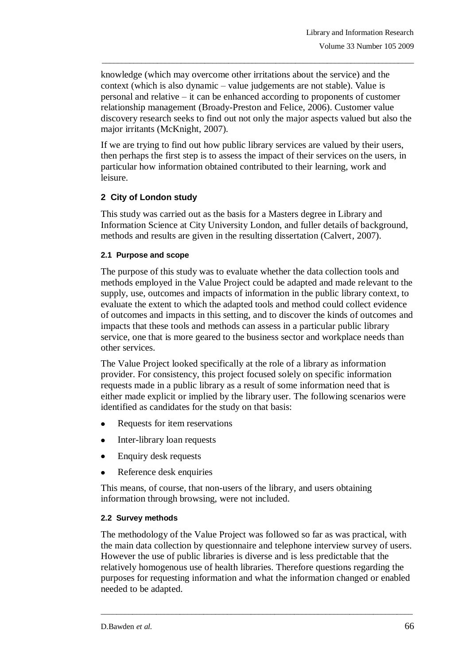knowledge (which may overcome other irritations about the service) and the context (which is also dynamic – value judgements are not stable). Value is personal and relative – it can be enhanced according to proponents of customer relationship management (Broady-Preston and Felice, 2006). Customer value discovery research seeks to find out not only the major aspects valued but also the major irritants (McKnight, 2007).

\_\_\_\_\_\_\_\_\_\_\_\_\_\_\_\_\_\_\_\_\_\_\_\_\_\_\_\_\_\_\_\_\_\_\_\_\_\_\_\_\_\_\_\_\_\_\_\_\_\_\_\_\_\_\_\_\_\_\_\_\_\_\_\_\_\_\_\_\_\_\_\_\_\_\_\_\_\_\_

If we are trying to find out how public library services are valued by their users, then perhaps the first step is to assess the impact of their services on the users, in particular how information obtained contributed to their learning, work and leisure.

# **2 City of London study**

This study was carried out as the basis for a Masters degree in Library and Information Science at City University London, and fuller details of background, methods and results are given in the resulting dissertation (Calvert, 2007).

#### **2.1 Purpose and scope**

The purpose of this study was to evaluate whether the data collection tools and methods employed in the Value Project could be adapted and made relevant to the supply, use, outcomes and impacts of information in the public library context, to evaluate the extent to which the adapted tools and method could collect evidence of outcomes and impacts in this setting, and to discover the kinds of outcomes and impacts that these tools and methods can assess in a particular public library service, one that is more geared to the business sector and workplace needs than other services.

The Value Project looked specifically at the role of a library as information provider. For consistency, this project focused solely on specific information requests made in a public library as a result of some information need that is either made explicit or implied by the library user. The following scenarios were identified as candidates for the study on that basis:

- Requests for item reservations  $\bullet$
- Inter-library loan requests  $\bullet$
- Enquiry desk requests  $\bullet$
- Reference desk enquiries  $\bullet$

This means, of course, that non-users of the library, and users obtaining information through browsing, were not included.

#### **2.2 Survey methods**

The methodology of the Value Project was followed so far as was practical, with the main data collection by questionnaire and telephone interview survey of users. However the use of public libraries is diverse and is less predictable that the relatively homogenous use of health libraries. Therefore questions regarding the purposes for requesting information and what the information changed or enabled needed to be adapted.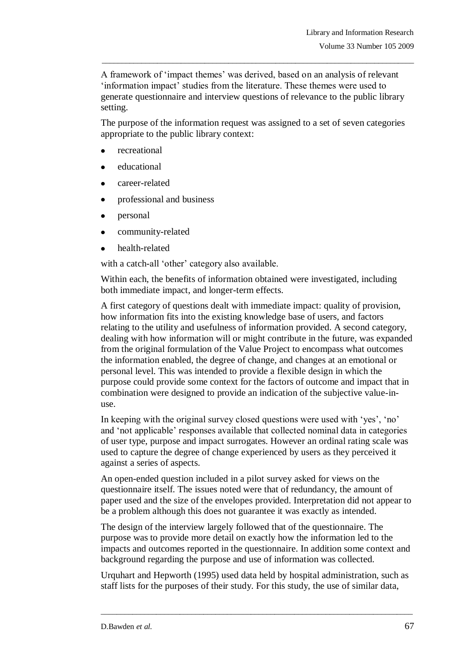A framework of 'impact themes' was derived, based on an analysis of relevant 'information impact' studies from the literature. These themes were used to generate questionnaire and interview questions of relevance to the public library setting.

\_\_\_\_\_\_\_\_\_\_\_\_\_\_\_\_\_\_\_\_\_\_\_\_\_\_\_\_\_\_\_\_\_\_\_\_\_\_\_\_\_\_\_\_\_\_\_\_\_\_\_\_\_\_\_\_\_\_\_\_\_\_\_\_\_\_\_\_\_\_\_\_\_\_\_\_\_\_\_

The purpose of the information request was assigned to a set of seven categories appropriate to the public library context:

- recreational
- educational
- career-related
- professional and business  $\bullet$
- personal  $\bullet$
- community-related
- health-related

with a catch-all 'other' category also available.

Within each, the benefits of information obtained were investigated, including both immediate impact, and longer-term effects.

A first category of questions dealt with immediate impact: quality of provision, how information fits into the existing knowledge base of users, and factors relating to the utility and usefulness of information provided. A second category, dealing with how information will or might contribute in the future, was expanded from the original formulation of the Value Project to encompass what outcomes the information enabled, the degree of change, and changes at an emotional or personal level. This was intended to provide a flexible design in which the purpose could provide some context for the factors of outcome and impact that in combination were designed to provide an indication of the subjective value-inuse.

In keeping with the original survey closed questions were used with 'yes', 'no' and 'not applicable' responses available that collected nominal data in categories of user type, purpose and impact surrogates. However an ordinal rating scale was used to capture the degree of change experienced by users as they perceived it against a series of aspects.

An open-ended question included in a pilot survey asked for views on the questionnaire itself. The issues noted were that of redundancy, the amount of paper used and the size of the envelopes provided. Interpretation did not appear to be a problem although this does not guarantee it was exactly as intended.

The design of the interview largely followed that of the questionnaire. The purpose was to provide more detail on exactly how the information led to the impacts and outcomes reported in the questionnaire. In addition some context and background regarding the purpose and use of information was collected.

Urquhart and Hepworth (1995) used data held by hospital administration, such as staff lists for the purposes of their study. For this study, the use of similar data,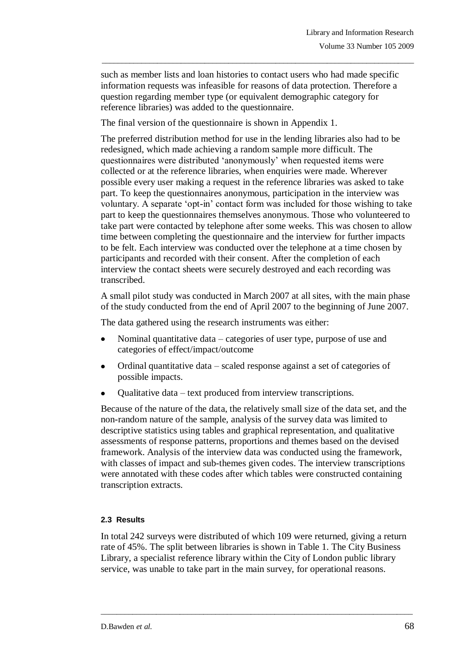such as member lists and loan histories to contact users who had made specific information requests was infeasible for reasons of data protection. Therefore a question regarding member type (or equivalent demographic category for reference libraries) was added to the questionnaire.

\_\_\_\_\_\_\_\_\_\_\_\_\_\_\_\_\_\_\_\_\_\_\_\_\_\_\_\_\_\_\_\_\_\_\_\_\_\_\_\_\_\_\_\_\_\_\_\_\_\_\_\_\_\_\_\_\_\_\_\_\_\_\_\_\_\_\_\_\_\_\_\_\_\_\_\_\_\_\_

The final version of the questionnaire is shown in Appendix 1.

The preferred distribution method for use in the lending libraries also had to be redesigned, which made achieving a random sample more difficult. The questionnaires were distributed 'anonymously' when requested items were collected or at the reference libraries, when enquiries were made. Wherever possible every user making a request in the reference libraries was asked to take part. To keep the questionnaires anonymous, participation in the interview was voluntary. A separate 'opt-in' contact form was included for those wishing to take part to keep the questionnaires themselves anonymous. Those who volunteered to take part were contacted by telephone after some weeks. This was chosen to allow time between completing the questionnaire and the interview for further impacts to be felt. Each interview was conducted over the telephone at a time chosen by participants and recorded with their consent. After the completion of each interview the contact sheets were securely destroyed and each recording was transcribed.

A small pilot study was conducted in March 2007 at all sites, with the main phase of the study conducted from the end of April 2007 to the beginning of June 2007.

The data gathered using the research instruments was either:

- Nominal quantitative data categories of user type, purpose of use and categories of effect/impact/outcome
- Ordinal quantitative data scaled response against a set of categories of possible impacts.
- Qualitative data text produced from interview transcriptions.

Because of the nature of the data, the relatively small size of the data set, and the non-random nature of the sample, analysis of the survey data was limited to descriptive statistics using tables and graphical representation, and qualitative assessments of response patterns, proportions and themes based on the devised framework. Analysis of the interview data was conducted using the framework, with classes of impact and sub-themes given codes. The interview transcriptions were annotated with these codes after which tables were constructed containing transcription extracts.

#### **2.3 Results**

In total 242 surveys were distributed of which 109 were returned, giving a return rate of 45%. The split between libraries is shown in Table 1. The City Business Library, a specialist reference library within the City of London public library service, was unable to take part in the main survey, for operational reasons.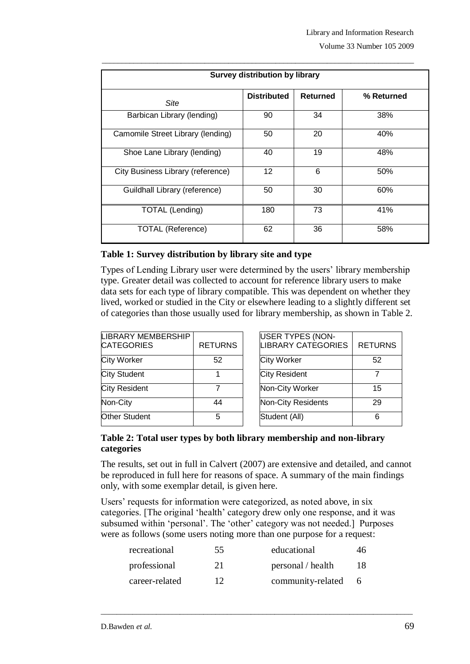Volume 33 Number 105 2009

| <b>Survey distribution by library</b> |                    |                 |            |  |  |  |
|---------------------------------------|--------------------|-----------------|------------|--|--|--|
| Site                                  | <b>Distributed</b> | <b>Returned</b> | % Returned |  |  |  |
| Barbican Library (lending)            | 90                 | 34              | 38%        |  |  |  |
| Camomile Street Library (lending)     | 50                 | 20              | 40%        |  |  |  |
| Shoe Lane Library (lending)           | 40                 | 19              | 48%        |  |  |  |
| City Business Library (reference)     | 12                 | 6               | 50%        |  |  |  |
| Guildhall Library (reference)         | 50                 | 30              | 60%        |  |  |  |
| <b>TOTAL (Lending)</b>                | 180                | 73              | 41%        |  |  |  |
| <b>TOTAL (Reference)</b>              | 62                 | 36              | 58%        |  |  |  |

\_\_\_\_\_\_\_\_\_\_\_\_\_\_\_\_\_\_\_\_\_\_\_\_\_\_\_\_\_\_\_\_\_\_\_\_\_\_\_\_\_\_\_\_\_\_\_\_\_\_\_\_\_\_\_\_\_\_\_\_\_\_\_\_\_\_\_\_\_\_\_\_\_\_\_\_\_\_\_

## **Table 1: Survey distribution by library site and type**

Types of Lending Library user were determined by the users' library membership type. Greater detail was collected to account for reference library users to make data sets for each type of library compatible. This was dependent on whether they lived, worked or studied in the City or elsewhere leading to a slightly different set of categories than those usually used for library membership, as shown in Table 2.

| <b>LIBRARY MEMBERSHIP</b><br><b>CATEGORIES</b> | <b>RETURNS</b> |
|------------------------------------------------|----------------|
| <b>City Worker</b>                             | 52             |
| <b>City Student</b>                            |                |
| <b>City Resident</b>                           |                |
| Non-City                                       | 44             |
| <b>Other Student</b>                           | 5              |

| <b>USER TYPES (NON-</b><br><b>LIBRARY CATEGORIES</b> | <b>RETURNS</b> |
|------------------------------------------------------|----------------|
| <b>City Worker</b>                                   | 52             |
| <b>City Resident</b>                                 |                |
| Non-City Worker                                      | 15             |
| Non-City Residents                                   | 29             |
| Student (All)                                        | 6              |

## **Table 2: Total user types by both library membership and non-library categories**

The results, set out in full in Calvert (2007) are extensive and detailed, and cannot be reproduced in full here for reasons of space. A summary of the main findings only, with some exemplar detail, is given here.

Users' requests for information were categorized, as noted above, in six categories. [The original 'health' category drew only one response, and it was subsumed within 'personal'. The 'other' category was not needed.] Purposes were as follows (some users noting more than one purpose for a request:

| recreational   | 55 | educational       | 46 |
|----------------|----|-------------------|----|
| professional   | 21 | personal / health | 18 |
| career-related | 12 | community-related |    |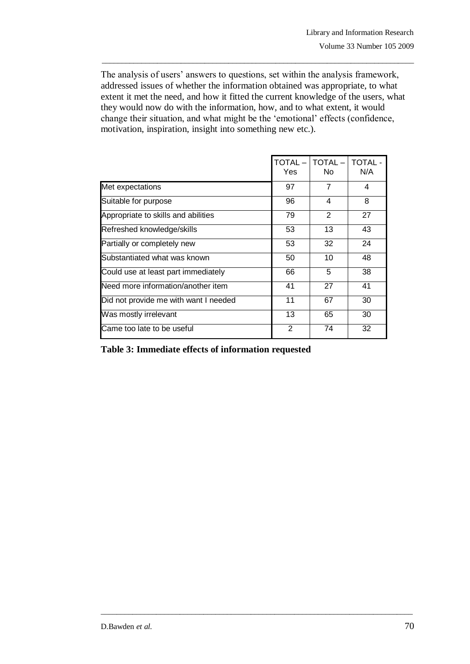The analysis of users' answers to questions, set within the analysis framework, addressed issues of whether the information obtained was appropriate, to what extent it met the need, and how it fitted the current knowledge of the users, what they would now do with the information, how, and to what extent, it would change their situation, and what might be the 'emotional' effects (confidence, motivation, inspiration, insight into something new etc.).

\_\_\_\_\_\_\_\_\_\_\_\_\_\_\_\_\_\_\_\_\_\_\_\_\_\_\_\_\_\_\_\_\_\_\_\_\_\_\_\_\_\_\_\_\_\_\_\_\_\_\_\_\_\_\_\_\_\_\_\_\_\_\_\_\_\_\_\_\_\_\_\_\_\_\_\_\_\_\_

|                                       | TOTAL<br>Yes | <b>TOTAL-</b><br>No. | <b>TOTAL -</b><br>N/A |
|---------------------------------------|--------------|----------------------|-----------------------|
| Met expectations                      | 97           | 7                    | 4                     |
| Suitable for purpose                  | 96           | 4                    | 8                     |
| Appropriate to skills and abilities   | 79           | $\overline{2}$       | 27                    |
| Refreshed knowledge/skills            | 53           | 13                   | 43                    |
| Partially or completely new           | 53           | 32                   | 24                    |
| Substantiated what was known          | 50           | 10                   | 48                    |
| Could use at least part immediately   | 66           | 5                    | 38                    |
| Need more information/another item    | 41           | 27                   | 41                    |
| Did not provide me with want I needed | 11           | 67                   | 30                    |
| Was mostly irrelevant                 | 13           | 65                   | 30                    |
| Came too late to be useful            | 2            | 74                   | 32                    |

**Table 3: Immediate effects of information requested**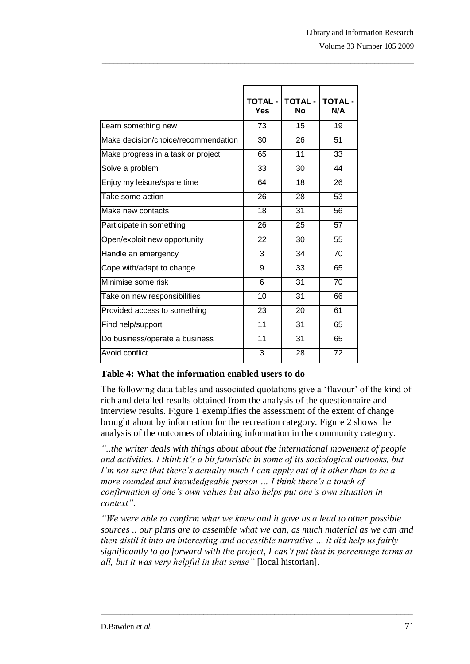|                                     | TOTAL - l<br><b>Yes</b> | <b>TOTAL -</b><br>No. | <b>TOTAL -</b><br>N/A |
|-------------------------------------|-------------------------|-----------------------|-----------------------|
| Learn something new                 | 73                      | 15                    | 19                    |
| Make decision/choice/recommendation | 30                      | 26                    | 51                    |
| Make progress in a task or project  | 65                      | 11                    | 33                    |
| Solve a problem                     | 33                      | 30                    | 44                    |
| Enjoy my leisure/spare time         | 64                      | 18                    | 26                    |
| Take some action                    | 26                      | 28                    | 53                    |
| Make new contacts                   | 18                      | 31                    | 56                    |
| Participate in something            | 26                      | 25                    | 57                    |
| Open/exploit new opportunity        | 22                      | 30                    | 55                    |
| Handle an emergency                 | 3                       | 34                    | 70                    |
| Cope with/adapt to change           | 9                       | 33                    | 65                    |
| Minimise some risk                  | 6                       | 31                    | 70                    |
| Take on new responsibilities        | 10                      | 31                    | 66                    |
| Provided access to something        | 23                      | 20                    | 61                    |
| Find help/support                   | 11                      | 31                    | 65                    |
| Do business/operate a business      | 11                      | 31                    | 65                    |
| Avoid conflict                      | 3                       | 28                    | 72                    |

\_\_\_\_\_\_\_\_\_\_\_\_\_\_\_\_\_\_\_\_\_\_\_\_\_\_\_\_\_\_\_\_\_\_\_\_\_\_\_\_\_\_\_\_\_\_\_\_\_\_\_\_\_\_\_\_\_\_\_\_\_\_\_\_\_\_\_\_\_\_\_\_\_\_\_\_\_\_\_

# **Table 4: What the information enabled users to do**

The following data tables and associated quotations give a 'flavour' of the kind of rich and detailed results obtained from the analysis of the questionnaire and interview results. Figure 1 exemplifies the assessment of the extent of change brought about by information for the recreation category. Figure 2 shows the analysis of the outcomes of obtaining information in the community category.

*"..the writer deals with things about about the international movement of people and activities. I think it's a bit futuristic in some of its sociological outlooks, but I'm not sure that there's actually much I can apply out of it other than to be a more rounded and knowledgeable person … I think there's a touch of confirmation of one's own values but also helps put one's own situation in context".*

*"We were able to confirm what we knew and it gave us a lead to other possible sources .. our plans are to assemble what we can, as much material as we can and then distil it into an interesting and accessible narrative … it did help us fairly significantly to go forward with the project, I can't put that in percentage terms at all, but it was very helpful in that sense"* [local historian].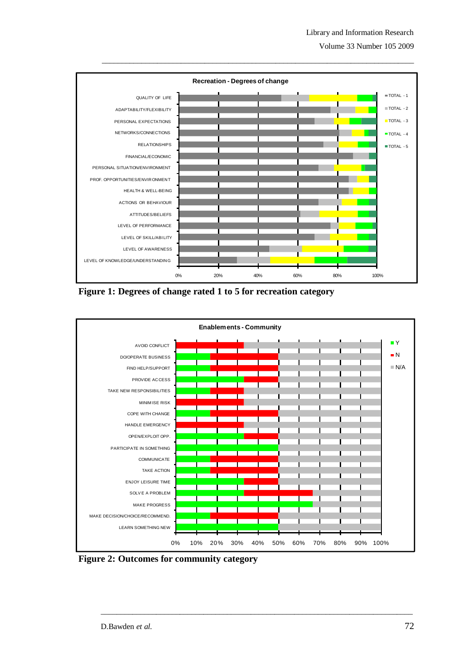Volume 33 Number 105 2009



\_\_\_\_\_\_\_\_\_\_\_\_\_\_\_\_\_\_\_\_\_\_\_\_\_\_\_\_\_\_\_\_\_\_\_\_\_\_\_\_\_\_\_\_\_\_\_\_\_\_\_\_\_\_\_\_\_\_\_\_\_\_\_\_\_\_\_\_\_\_\_\_\_\_\_\_\_\_\_

**Figure 1: Degrees of change rated 1 to 5 for recreation category**



**Figure 2: Outcomes for community category**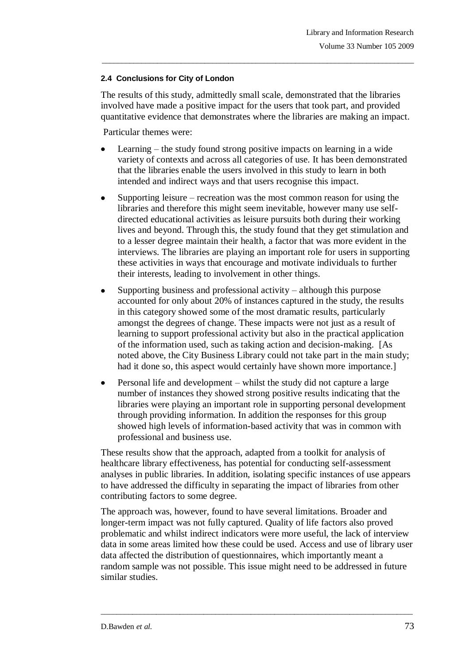#### **2.4 Conclusions for City of London**

The results of this study, admittedly small scale, demonstrated that the libraries involved have made a positive impact for the users that took part, and provided quantitative evidence that demonstrates where the libraries are making an impact.

\_\_\_\_\_\_\_\_\_\_\_\_\_\_\_\_\_\_\_\_\_\_\_\_\_\_\_\_\_\_\_\_\_\_\_\_\_\_\_\_\_\_\_\_\_\_\_\_\_\_\_\_\_\_\_\_\_\_\_\_\_\_\_\_\_\_\_\_\_\_\_\_\_\_\_\_\_\_\_

Particular themes were:

- Learning the study found strong positive impacts on learning in a wide variety of contexts and across all categories of use. It has been demonstrated that the libraries enable the users involved in this study to learn in both intended and indirect ways and that users recognise this impact.
- Supporting leisure recreation was the most common reason for using the  $\bullet$ libraries and therefore this might seem inevitable, however many use selfdirected educational activities as leisure pursuits both during their working lives and beyond. Through this, the study found that they get stimulation and to a lesser degree maintain their health, a factor that was more evident in the interviews. The libraries are playing an important role for users in supporting these activities in ways that encourage and motivate individuals to further their interests, leading to involvement in other things.
- Supporting business and professional activity although this purpose  $\bullet$ accounted for only about 20% of instances captured in the study, the results in this category showed some of the most dramatic results, particularly amongst the degrees of change. These impacts were not just as a result of learning to support professional activity but also in the practical application of the information used, such as taking action and decision-making. [As noted above, the City Business Library could not take part in the main study; had it done so, this aspect would certainly have shown more importance.]
- Personal life and development whilst the study did not capture a large number of instances they showed strong positive results indicating that the libraries were playing an important role in supporting personal development through providing information. In addition the responses for this group showed high levels of information-based activity that was in common with professional and business use.

These results show that the approach, adapted from a toolkit for analysis of healthcare library effectiveness, has potential for conducting self-assessment analyses in public libraries. In addition, isolating specific instances of use appears to have addressed the difficulty in separating the impact of libraries from other contributing factors to some degree.

The approach was, however, found to have several limitations. Broader and longer-term impact was not fully captured. Quality of life factors also proved problematic and whilst indirect indicators were more useful, the lack of interview data in some areas limited how these could be used. Access and use of library user data affected the distribution of questionnaires, which importantly meant a random sample was not possible. This issue might need to be addressed in future similar studies.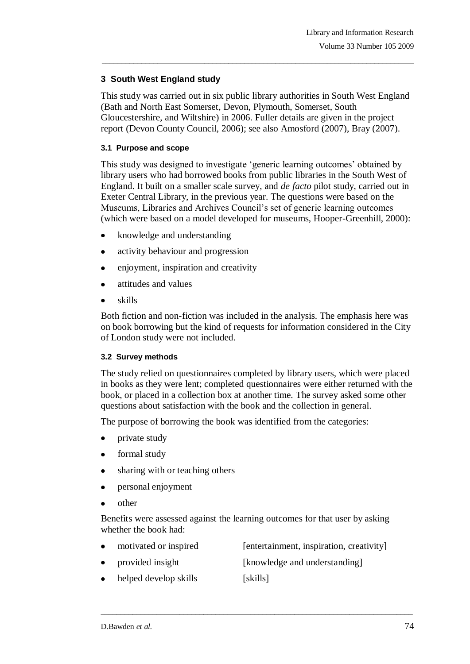## **3 South West England study**

This study was carried out in six public library authorities in South West England (Bath and North East Somerset, Devon, Plymouth, Somerset, South Gloucestershire, and Wiltshire) in 2006. Fuller details are given in the project report (Devon County Council, 2006); see also Amosford (2007), Bray (2007).

\_\_\_\_\_\_\_\_\_\_\_\_\_\_\_\_\_\_\_\_\_\_\_\_\_\_\_\_\_\_\_\_\_\_\_\_\_\_\_\_\_\_\_\_\_\_\_\_\_\_\_\_\_\_\_\_\_\_\_\_\_\_\_\_\_\_\_\_\_\_\_\_\_\_\_\_\_\_\_

#### **3.1 Purpose and scope**

This study was designed to investigate 'generic learning outcomes' obtained by library users who had borrowed books from public libraries in the South West of England. It built on a smaller scale survey, and *de facto* pilot study, carried out in Exeter Central Library, in the previous year. The questions were based on the Museums, Libraries and Archives Council's set of generic learning outcomes (which were based on a model developed for museums, Hooper-Greenhill, 2000):

- knowledge and understanding  $\bullet$
- activity behaviour and progression  $\bullet$
- enjoyment, inspiration and creativity
- attitudes and values
- skills  $\bullet$

Both fiction and non-fiction was included in the analysis. The emphasis here was on book borrowing but the kind of requests for information considered in the City of London study were not included.

#### **3.2 Survey methods**

The study relied on questionnaires completed by library users, which were placed in books as they were lent; completed questionnaires were either returned with the book, or placed in a collection box at another time. The survey asked some other questions about satisfaction with the book and the collection in general.

The purpose of borrowing the book was identified from the categories:

- private study
- formal study
- sharing with or teaching others
- personal enjoyment
- other

 $\bullet$ 

Benefits were assessed against the learning outcomes for that user by asking whether the book had:

- $\bullet$ motivated or inspired [entertainment, inspiration, creativity]
	- provided insight [knowledge and understanding]

\_\_\_\_\_\_\_\_\_\_\_\_\_\_\_\_\_\_\_\_\_\_\_\_\_\_\_\_\_\_\_\_\_\_\_\_\_\_\_\_\_\_\_\_\_\_\_\_\_\_\_\_\_\_\_\_\_\_\_\_\_\_\_\_\_\_\_\_\_\_\_\_\_\_\_\_\_\_\_

helped develop skills [skills]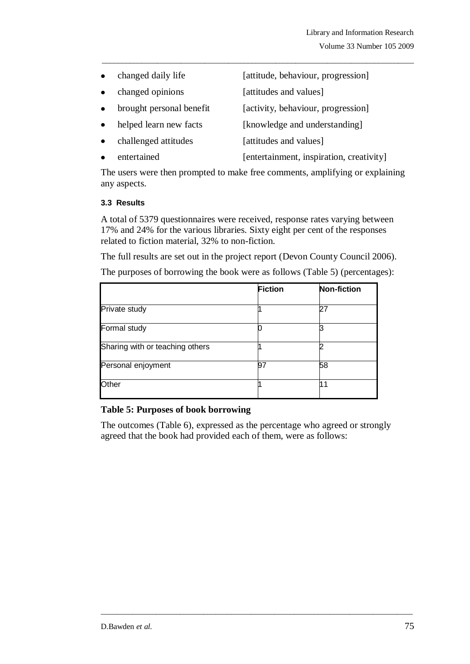changed daily life [attitude, behaviour, progression]  $\bullet$ 

\_\_\_\_\_\_\_\_\_\_\_\_\_\_\_\_\_\_\_\_\_\_\_\_\_\_\_\_\_\_\_\_\_\_\_\_\_\_\_\_\_\_\_\_\_\_\_\_\_\_\_\_\_\_\_\_\_\_\_\_\_\_\_\_\_\_\_\_\_\_\_\_\_\_\_\_\_\_\_

- changed opinions [attitudes and values]  $\bullet$
- brought personal benefit [activity, behaviour, progression]
- helped learn new facts [knowledge and understanding]
- challenged attitudes [attitudes and values]
- entertained [entertainment, inspiration, creativity]

The users were then prompted to make free comments, amplifying or explaining any aspects.

## **3.3 Results**

A total of 5379 questionnaires were received, response rates varying between 17% and 24% for the various libraries. Sixty eight per cent of the responses related to fiction material, 32% to non-fiction.

The full results are set out in the project report (Devon County Council 2006).

The purposes of borrowing the book were as follows (Table 5) (percentages):

|                                 | <b>Fiction</b> | <b>Non-fiction</b> |
|---------------------------------|----------------|--------------------|
| Private study                   |                | 27                 |
| Formal study                    |                |                    |
| Sharing with or teaching others |                |                    |
| Personal enjoyment              | 97             | 58                 |
| Other                           |                | 11                 |

## **Table 5: Purposes of book borrowing**

The outcomes (Table 6), expressed as the percentage who agreed or strongly agreed that the book had provided each of them, were as follows: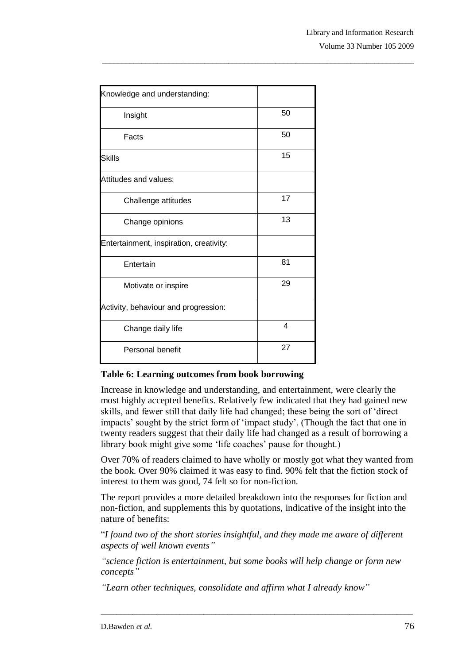| Knowledge and understanding:            |    |
|-----------------------------------------|----|
| Insight                                 | 50 |
| Facts                                   | 50 |
| <b>Skills</b>                           | 15 |
| Attitudes and values:                   |    |
| Challenge attitudes                     | 17 |
| Change opinions                         | 13 |
| Entertainment, inspiration, creativity: |    |
| Entertain                               | 81 |
| Motivate or inspire                     | 29 |
| Activity, behaviour and progression:    |    |
| Change daily life                       | 4  |
| Personal benefit                        | 27 |

## **Table 6: Learning outcomes from book borrowing**

Increase in knowledge and understanding, and entertainment, were clearly the most highly accepted benefits. Relatively few indicated that they had gained new skills, and fewer still that daily life had changed; these being the sort of 'direct impacts' sought by the strict form of 'impact study'. (Though the fact that one in twenty readers suggest that their daily life had changed as a result of borrowing a library book might give some 'life coaches' pause for thought.)

\_\_\_\_\_\_\_\_\_\_\_\_\_\_\_\_\_\_\_\_\_\_\_\_\_\_\_\_\_\_\_\_\_\_\_\_\_\_\_\_\_\_\_\_\_\_\_\_\_\_\_\_\_\_\_\_\_\_\_\_\_\_\_\_\_\_\_\_\_\_\_\_\_\_\_\_\_\_\_

Over 70% of readers claimed to have wholly or mostly got what they wanted from the book. Over 90% claimed it was easy to find. 90% felt that the fiction stock of interest to them was good, 74 felt so for non-fiction.

The report provides a more detailed breakdown into the responses for fiction and non-fiction, and supplements this by quotations, indicative of the insight into the nature of benefits:

"*I found two of the short stories insightful, and they made me aware of different aspects of well known events"*

*"science fiction is entertainment, but some books will help change or form new concepts"*

\_\_\_\_\_\_\_\_\_\_\_\_\_\_\_\_\_\_\_\_\_\_\_\_\_\_\_\_\_\_\_\_\_\_\_\_\_\_\_\_\_\_\_\_\_\_\_\_\_\_\_\_\_\_\_\_\_\_\_\_\_\_\_\_\_\_\_\_\_\_\_\_\_\_\_\_\_\_\_

*"Learn other techniques, consolidate and affirm what I already know"*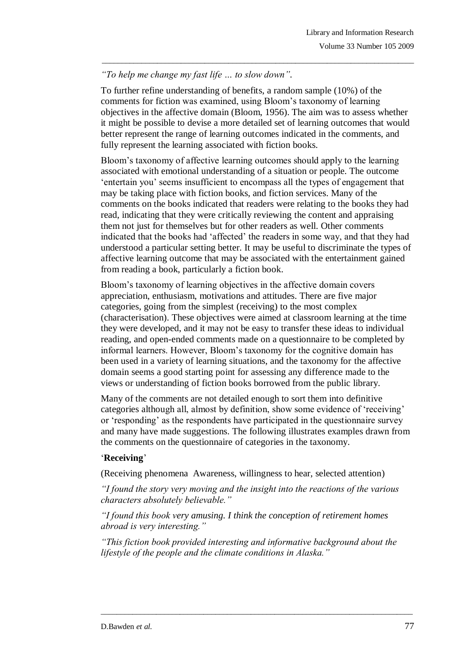# *"To help me change my fast life … to slow down".*

To further refine understanding of benefits, a random sample (10%) of the comments for fiction was examined, using Bloom's taxonomy of learning objectives in the affective domain (Bloom, 1956). The aim was to assess whether it might be possible to devise a more detailed set of learning outcomes that would better represent the range of learning outcomes indicated in the comments, and fully represent the learning associated with fiction books.

\_\_\_\_\_\_\_\_\_\_\_\_\_\_\_\_\_\_\_\_\_\_\_\_\_\_\_\_\_\_\_\_\_\_\_\_\_\_\_\_\_\_\_\_\_\_\_\_\_\_\_\_\_\_\_\_\_\_\_\_\_\_\_\_\_\_\_\_\_\_\_\_\_\_\_\_\_\_\_

Bloom's taxonomy of affective learning outcomes should apply to the learning associated with emotional understanding of a situation or people. The outcome 'entertain you' seems insufficient to encompass all the types of engagement that may be taking place with fiction books, and fiction services. Many of the comments on the books indicated that readers were relating to the books they had read, indicating that they were critically reviewing the content and appraising them not just for themselves but for other readers as well. Other comments indicated that the books had 'affected' the readers in some way, and that they had understood a particular setting better. It may be useful to discriminate the types of affective learning outcome that may be associated with the entertainment gained from reading a book, particularly a fiction book.

Bloom's taxonomy of learning objectives in the affective domain covers appreciation, enthusiasm, motivations and attitudes. There are five major categories, going from the simplest (receiving) to the most complex (characterisation). These objectives were aimed at classroom learning at the time they were developed, and it may not be easy to transfer these ideas to individual reading, and open-ended comments made on a questionnaire to be completed by informal learners. However, Bloom's taxonomy for the cognitive domain has been used in a variety of learning situations, and the taxonomy for the affective domain seems a good starting point for assessing any difference made to the views or understanding of fiction books borrowed from the public library.

Many of the comments are not detailed enough to sort them into definitive categories although all, almost by definition, show some evidence of 'receiving' or 'responding' as the respondents have participated in the questionnaire survey and many have made suggestions. The following illustrates examples drawn from the comments on the questionnaire of categories in the taxonomy.

## '**Receiving**'

(Receiving phenomena Awareness, willingness to hear, selected attention)

*"I found the story very moving and the insight into the reactions of the various characters absolutely believable."*

*"I found this book very amusing. I think the conception of retirement homes abroad is very interesting."* 

*"This fiction book provided interesting and informative background about the lifestyle of the people and the climate conditions in Alaska."*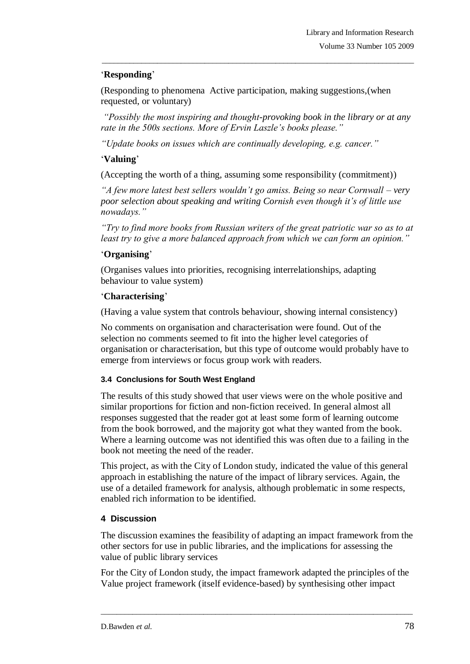# '**Responding**'

(Responding to phenomena Active participation, making suggestions,(when requested, or voluntary)

*"Possibly the most inspiring and thought-provoking book in the library or at any rate in the 500s sections. More of Ervin Laszle's books please."*

\_\_\_\_\_\_\_\_\_\_\_\_\_\_\_\_\_\_\_\_\_\_\_\_\_\_\_\_\_\_\_\_\_\_\_\_\_\_\_\_\_\_\_\_\_\_\_\_\_\_\_\_\_\_\_\_\_\_\_\_\_\_\_\_\_\_\_\_\_\_\_\_\_\_\_\_\_\_\_

*"Update books on issues which are continually developing, e.g. cancer."*

# '**Valuing**'

(Accepting the worth of a thing, assuming some responsibility (commitment))

*"A few more latest best sellers wouldn't go amiss. Being so near Cornwall – very poor selection about speaking and writing Cornish even though it's of little use nowadays."*

*"Try to find more books from Russian writers of the great patriotic war so as to at least try to give a more balanced approach from which we can form an opinion."*

# '**Organising**'

(Organises values into priorities, recognising interrelationships, adapting behaviour to value system)

# '**Characterising**'

(Having a value system that controls behaviour, showing internal consistency)

No comments on organisation and characterisation were found. Out of the selection no comments seemed to fit into the higher level categories of organisation or characterisation, but this type of outcome would probably have to emerge from interviews or focus group work with readers.

## **3.4 Conclusions for South West England**

The results of this study showed that user views were on the whole positive and similar proportions for fiction and non-fiction received. In general almost all responses suggested that the reader got at least some form of learning outcome from the book borrowed, and the majority got what they wanted from the book. Where a learning outcome was not identified this was often due to a failing in the book not meeting the need of the reader.

This project, as with the City of London study, indicated the value of this general approach in establishing the nature of the impact of library services. Again, the use of a detailed framework for analysis, although problematic in some respects, enabled rich information to be identified.

# **4 Discussion**

The discussion examines the feasibility of adapting an impact framework from the other sectors for use in public libraries, and the implications for assessing the value of public library services

For the City of London study, the impact framework adapted the principles of the Value project framework (itself evidence-based) by synthesising other impact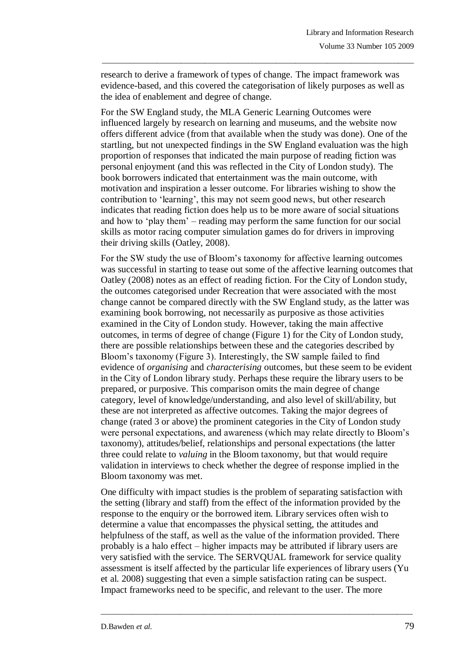research to derive a framework of types of change. The impact framework was evidence-based, and this covered the categorisation of likely purposes as well as the idea of enablement and degree of change.

\_\_\_\_\_\_\_\_\_\_\_\_\_\_\_\_\_\_\_\_\_\_\_\_\_\_\_\_\_\_\_\_\_\_\_\_\_\_\_\_\_\_\_\_\_\_\_\_\_\_\_\_\_\_\_\_\_\_\_\_\_\_\_\_\_\_\_\_\_\_\_\_\_\_\_\_\_\_\_

For the SW England study, the MLA Generic Learning Outcomes were influenced largely by research on learning and museums, and the website now offers different advice (from that available when the study was done). One of the startling, but not unexpected findings in the SW England evaluation was the high proportion of responses that indicated the main purpose of reading fiction was personal enjoyment (and this was reflected in the City of London study). The book borrowers indicated that entertainment was the main outcome, with motivation and inspiration a lesser outcome. For libraries wishing to show the contribution to 'learning', this may not seem good news, but other research indicates that reading fiction does help us to be more aware of social situations and how to 'play them' – reading may perform the same function for our social skills as motor racing computer simulation games do for drivers in improving their driving skills (Oatley, 2008).

For the SW study the use of Bloom's taxonomy for affective learning outcomes was successful in starting to tease out some of the affective learning outcomes that Oatley (2008) notes as an effect of reading fiction. For the City of London study, the outcomes categorised under Recreation that were associated with the most change cannot be compared directly with the SW England study, as the latter was examining book borrowing, not necessarily as purposive as those activities examined in the City of London study. However, taking the main affective outcomes, in terms of degree of change (Figure 1) for the City of London study, there are possible relationships between these and the categories described by Bloom's taxonomy (Figure 3). Interestingly, the SW sample failed to find evidence of *organising* and *characterising* outcomes, but these seem to be evident in the City of London library study. Perhaps these require the library users to be prepared, or purposive. This comparison omits the main degree of change category, level of knowledge/understanding, and also level of skill/ability, but these are not interpreted as affective outcomes. Taking the major degrees of change (rated 3 or above) the prominent categories in the City of London study were personal expectations, and awareness (which may relate directly to Bloom's taxonomy), attitudes/belief, relationships and personal expectations (the latter three could relate to *valuing* in the Bloom taxonomy, but that would require validation in interviews to check whether the degree of response implied in the Bloom taxonomy was met.

One difficulty with impact studies is the problem of separating satisfaction with the setting (library and staff) from the effect of the information provided by the response to the enquiry or the borrowed item. Library services often wish to determine a value that encompasses the physical setting, the attitudes and helpfulness of the staff, as well as the value of the information provided. There probably is a halo effect – higher impacts may be attributed if library users are very satisfied with the service. The SERVQUAL framework for service quality assessment is itself affected by the particular life experiences of library users (Yu et al. 2008) suggesting that even a simple satisfaction rating can be suspect. Impact frameworks need to be specific, and relevant to the user. The more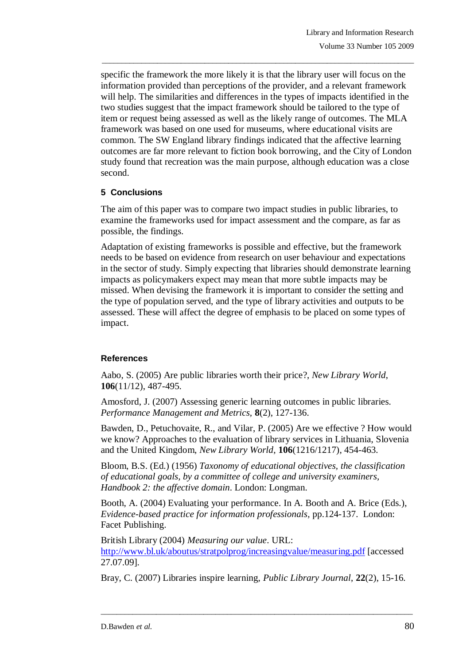specific the framework the more likely it is that the library user will focus on the information provided than perceptions of the provider, and a relevant framework will help. The similarities and differences in the types of impacts identified in the two studies suggest that the impact framework should be tailored to the type of item or request being assessed as well as the likely range of outcomes. The MLA framework was based on one used for museums, where educational visits are common. The SW England library findings indicated that the affective learning outcomes are far more relevant to fiction book borrowing, and the City of London study found that recreation was the main purpose, although education was a close second.

\_\_\_\_\_\_\_\_\_\_\_\_\_\_\_\_\_\_\_\_\_\_\_\_\_\_\_\_\_\_\_\_\_\_\_\_\_\_\_\_\_\_\_\_\_\_\_\_\_\_\_\_\_\_\_\_\_\_\_\_\_\_\_\_\_\_\_\_\_\_\_\_\_\_\_\_\_\_\_

# **5 Conclusions**

The aim of this paper was to compare two impact studies in public libraries, to examine the frameworks used for impact assessment and the compare, as far as possible, the findings.

Adaptation of existing frameworks is possible and effective, but the framework needs to be based on evidence from research on user behaviour and expectations in the sector of study. Simply expecting that libraries should demonstrate learning impacts as policymakers expect may mean that more subtle impacts may be missed. When devising the framework it is important to consider the setting and the type of population served, and the type of library activities and outputs to be assessed. These will affect the degree of emphasis to be placed on some types of impact.

# **References**

Aabo, S. (2005) Are public libraries worth their price?, *New Library World*, **106**(11/12), 487-495.

Amosford, J. (2007) Assessing generic learning outcomes in public libraries. *Performance Management and Metrics,* **8**(2), 127-136.

Bawden, D., Petuchovaite, R., and Vilar, P. (2005) Are we effective ? How would we know? Approaches to the evaluation of library services in Lithuania, Slovenia and the United Kingdom, *New Library World*, **106**(1216/1217), 454-463.

Bloom, B.S. (Ed.) (1956) *Taxonomy of educational objectives, the classification of educational goals, by a committee of college and university examiners, Handbook 2: the affective domain*. London: Longman.

Booth, A. (2004) Evaluating your performance. In A. Booth and A. Brice (Eds.), *Evidence-based practice for information professionals,* pp.124-137. London: Facet Publishing.

British Library (2004) *Measuring our value*. URL: <http://www.bl.uk/aboutus/stratpolprog/increasingvalue/measuring.pdf> [accessed 27.07.09].

Bray, C. (2007) Libraries inspire learning, *Public Library Journal*, **22**(2), 15-16.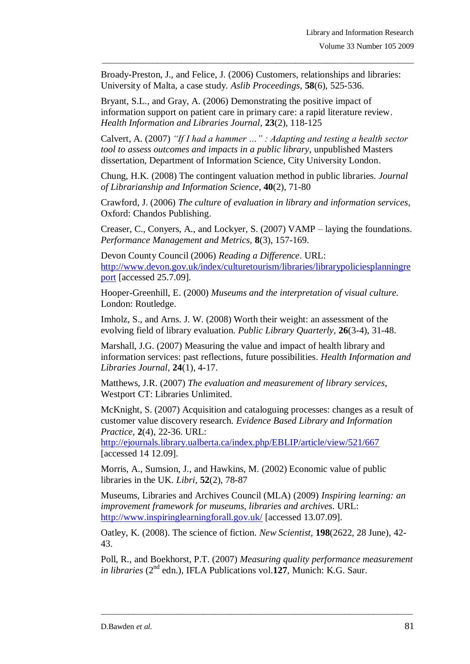Broady-Preston, J., and Felice, J. (2006) Customers, relationships and libraries: University of Malta, a case study. *Aslib Proceedings,* **58**(6), 525-536.

\_\_\_\_\_\_\_\_\_\_\_\_\_\_\_\_\_\_\_\_\_\_\_\_\_\_\_\_\_\_\_\_\_\_\_\_\_\_\_\_\_\_\_\_\_\_\_\_\_\_\_\_\_\_\_\_\_\_\_\_\_\_\_\_\_\_\_\_\_\_\_\_\_\_\_\_\_\_\_

Bryant, S.L., and Gray, A. (2006) Demonstrating the positive impact of information support on patient care in primary care: a rapid literature review. *Health Information and Libraries Journal*, **23**(2), 118-125

Calvert, A. (2007) *"If I had a hammer …" : Adapting and testing a health sector tool to assess outcomes and impacts in a public library*, unpublished Masters dissertation, Department of Information Science, City University London.

Chung, H.K. (2008) The contingent valuation method in public libraries. *Journal of Librarianship and Information Science*, **40**(2), 71-80

Crawford, J. (2006) *The culture of evaluation in library and information services*, Oxford: Chandos Publishing.

Creaser, C., Conyers, A., and Lockyer, S. (2007) VAMP – laying the foundations. *Performance Management and Metrics,* **8**(3), 157-169.

Devon County Council (2006) *Reading a Difference*. URL: [http://www.devon.gov.uk/index/culturetourism/libraries/librarypoliciesplanningre](http://www.devon.gov.uk/index/culturetourism/libraries/librarypoliciesplanningreport) [port](http://www.devon.gov.uk/index/culturetourism/libraries/librarypoliciesplanningreport) [accessed 25.7.09].

Hooper-Greenhill, E. (2000) *Museums and the interpretation of visual culture.*  London: Routledge.

Imholz, S., and Arns. J. W. (2008) Worth their weight: an assessment of the evolving field of library evaluation. *Public Library Quarterly,* **26**(3-4), 31-48.

Marshall, J.G. (2007) Measuring the value and impact of health library and information services: past reflections, future possibilities. *Health Information and Libraries Journal*, **24**(1), 4-17.

Matthews, J.R. (2007) *The evaluation and measurement of library services*, Westport CT: Libraries Unlimited.

McKnight, S. (2007) Acquisition and cataloguing processes: changes as a result of customer value discovery research. *Evidence Based Library and Information Practice,* **2**(4), 22-36. URL:

<http://ejournals.library.ualberta.ca/index.php/EBLIP/article/view/521/667> [accessed 14 12.09].

Morris, A., Sumsion, J., and Hawkins, M. (2002) Economic value of public libraries in the UK. *Libri*, **52**(2), 78-87

Museums, Libraries and Archives Council (MLA) (2009) *Inspiring learning: an improvement framework for museums, libraries and archives*. URL: <http://www.inspiringlearningforall.gov.uk/> [accessed 13.07.09].

Oatley, K. (2008). The science of fiction. *New Scientist,* **198**(2622, 28 June), 42- 43.

Poll, R., and Boekhorst, P.T. (2007) *Measuring quality performance measurement in libraries* (2<sup>nd</sup> edn.), IFLA Publications vol.127, Munich: K.G. Saur.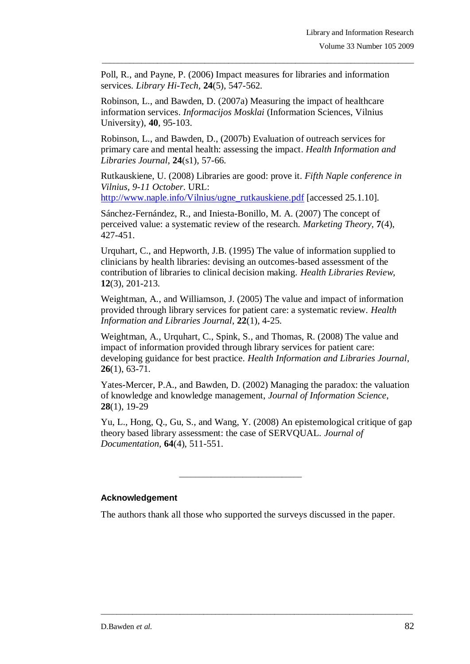Poll, R., and Payne, P. (2006) Impact measures for libraries and information services. *Library Hi-Tech,* **24**(5), 547-562*.*

\_\_\_\_\_\_\_\_\_\_\_\_\_\_\_\_\_\_\_\_\_\_\_\_\_\_\_\_\_\_\_\_\_\_\_\_\_\_\_\_\_\_\_\_\_\_\_\_\_\_\_\_\_\_\_\_\_\_\_\_\_\_\_\_\_\_\_\_\_\_\_\_\_\_\_\_\_\_\_

Robinson, L., and Bawden, D. (2007a) Measuring the impact of healthcare information services. *Informacijos Mosklai* (Information Sciences, Vilnius University), **40**, 95-103.

Robinson, L., and Bawden, D., (2007b) Evaluation of outreach services for primary care and mental health: assessing the impact. *Health Information and Libraries Journal*, **24**(s1), 57-66.

Rutkauskiene, U. (2008) Libraries are good: prove it. *Fifth Naple conference in Vilnius, 9-11 October*. URL:

[http://www.naple.info/Vilnius/ugne\\_rutkauskiene.pdf](http://www.naple.info/Vilnius/ugne_rutkauskiene.pdf) [accessed 25.1.10].

Sánchez-Fernández, R., and Iniesta-Bonillo, M. A. (2007) The concept of perceived value: a systematic review of the research. *Marketing Theory,* **7**(4), 427-451.

Urquhart, C., and Hepworth, J.B. (1995) The value of information supplied to clinicians by health libraries: devising an outcomes-based assessment of the contribution of libraries to clinical decision making. *Health Libraries Review*, **12**(3), 201-213.

Weightman, A., and Williamson, J. (2005) The value and impact of information provided through library services for patient care: a systematic review. *Health Information and Libraries Journal*, **22**(1), 4-25.

Weightman, A., Urquhart, C., Spink, S., and Thomas, R. (2008) The value and impact of information provided through library services for patient care: developing guidance for best practice. *Health Information and Libraries Journal*, **26**(1), 63-71.

Yates-Mercer, P.A., and Bawden, D. (2002) Managing the paradox: the valuation of knowledge and knowledge management, *Journal of Information Science*, **28**(1), 19-29

Yu, L., Hong, Q., Gu, S., and Wang, Y. (2008) An epistemological critique of gap theory based library assessment: the case of SERVQUAL. *Journal of Documentation,* **64**(4), 511-551.

## **Acknowledgement**

The authors thank all those who supported the surveys discussed in the paper.

\_\_\_\_\_\_\_\_\_\_\_\_\_\_\_\_\_\_\_\_\_\_\_\_\_\_\_\_\_\_\_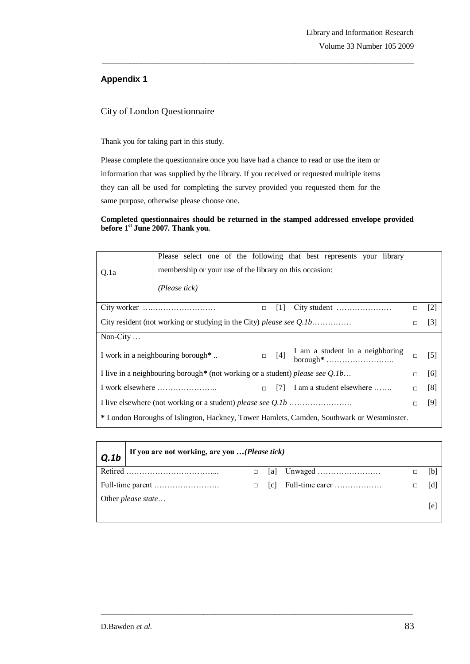## **Appendix 1**

#### City of London Questionnaire

Thank you for taking part in this study.

Please complete the questionnaire once you have had a chance to read or use the item or information that was supplied by the library. If you received or requested multiple items they can all be used for completing the survey provided you requested them for the same purpose, otherwise please choose one.

#### **Completed questionnaires should be returned in the stamped addressed envelope provided before 1st June 2007. Thank you.**

\_\_\_\_\_\_\_\_\_\_\_\_\_\_\_\_\_\_\_\_\_\_\_\_\_\_\_\_\_\_\_\_\_\_\_\_\_\_\_\_\_\_\_\_\_\_\_\_\_\_\_\_\_\_\_\_\_\_\_\_\_\_\_\_\_\_\_\_\_\_\_\_\_\_\_\_\_\_\_

| Q.1a                                                                                   | Please select one of the following that best represents your library<br>membership or your use of the library on this occasion:<br>(Please tick) |        |                   |  |  |  |  |  |
|----------------------------------------------------------------------------------------|--------------------------------------------------------------------------------------------------------------------------------------------------|--------|-------------------|--|--|--|--|--|
|                                                                                        |                                                                                                                                                  |        |                   |  |  |  |  |  |
|                                                                                        | $\lceil 1 \rceil$<br>$\Box$                                                                                                                      | $\Box$ | $[2]$             |  |  |  |  |  |
|                                                                                        | City resident (not working or studying in the City) please see Q.1b                                                                              |        | $\lceil 3 \rceil$ |  |  |  |  |  |
| Non-City                                                                               |                                                                                                                                                  |        |                   |  |  |  |  |  |
|                                                                                        | I am a student in a neighboring<br>I work in a neighbouring borough <sup>*</sup><br>$\Box$ [4]                                                   | $\Box$ | $\lceil 5 \rceil$ |  |  |  |  |  |
| I live in a neighbouring borough* (not working or a student) please see Q.1b<br>$\Box$ |                                                                                                                                                  |        |                   |  |  |  |  |  |
|                                                                                        | I work elsewhere $\dots \dots \dots \dots \dots$<br>$\Box$ [7] I am a student elsewhere                                                          | $\Box$ | [8]               |  |  |  |  |  |
|                                                                                        |                                                                                                                                                  |        |                   |  |  |  |  |  |
|                                                                                        | * London Boroughs of Islington, Hackney, Tower Hamlets, Camden, Southwark or Westminster.                                                        |        |                   |  |  |  |  |  |

| Q.1b    | If you are not working, are you (Please tick) |   |      |                 |  |      |  |
|---------|-----------------------------------------------|---|------|-----------------|--|------|--|
| Retired |                                               | П | lal  |                 |  | [b]  |  |
|         |                                               |   | lcl. | Full-time carer |  | Id I |  |
|         | Other <i>please state</i>                     |   |      |                 |  | [e]  |  |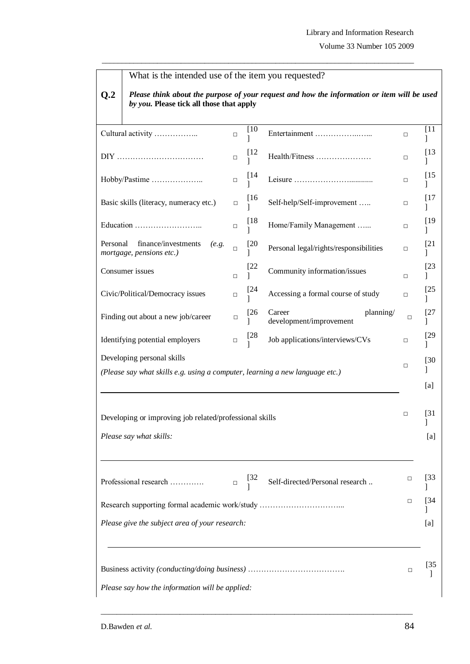Volume 33 Number 105 2009

| Q.2                                                                                                        | What is the intended use of the item you requested?<br>by you. Please tick all those that apply |        |        | Please think about the purpose of your request and how the information or item will be used |        |                    |
|------------------------------------------------------------------------------------------------------------|-------------------------------------------------------------------------------------------------|--------|--------|---------------------------------------------------------------------------------------------|--------|--------------------|
|                                                                                                            | Cultural activity                                                                               | $\Box$ | [10    |                                                                                             | $\Box$ | [11]               |
|                                                                                                            |                                                                                                 | $\Box$ | [12]   | Health/Fitness                                                                              | $\Box$ | [13]               |
|                                                                                                            | Hobby/Pastime                                                                                   | $\Box$ | [14    |                                                                                             | $\Box$ | $\sqrt{15}$        |
|                                                                                                            | Basic skills (literacy, numeracy etc.)                                                          | $\Box$ | [16]   | Self-help/Self-improvement                                                                  | $\Box$ | 117                |
|                                                                                                            |                                                                                                 | $\Box$ | [18]   | Home/Family Management                                                                      | $\Box$ | $\lceil 19 \rceil$ |
| Personal                                                                                                   | finance/investments<br>(e.g.<br>mortgage, pensions etc.)                                        | $\Box$ | [20]   | Personal legal/rights/responsibilities                                                      | $\Box$ | $\lceil 21 \rceil$ |
|                                                                                                            | Consumer issues                                                                                 | $\Box$ | [22]   | Community information/issues                                                                | $\Box$ | $\sqrt{23}$        |
|                                                                                                            | Civic/Political/Democracy issues                                                                | $\Box$ | $[24]$ | Accessing a formal course of study                                                          | $\Box$ | $[25$              |
|                                                                                                            | Finding out about a new job/career                                                              | $\Box$ | $[26]$ | Career<br>planning/<br>development/improvement                                              | $\Box$ | $[27$              |
| [28]<br>Job applications/interviews/CVs<br>Identifying potential employers<br>$\Box$                       |                                                                                                 |        |        |                                                                                             | $\Box$ | $[29$              |
| Developing personal skills<br>(Please say what skills e.g. using a computer, learning a new language etc.) |                                                                                                 |        |        |                                                                                             |        | [30<br>[a]         |
|                                                                                                            | Developing or improving job related/professional skills                                         |        |        |                                                                                             | $\Box$ | [31                |
| Please say what skills:                                                                                    |                                                                                                 |        |        |                                                                                             |        | [a]                |
|                                                                                                            | Professional research                                                                           | $\Box$ | $[32]$ | Self-directed/Personal research                                                             | $\Box$ | $[33]$             |
| Research supporting formal academic work/study                                                             |                                                                                                 |        |        |                                                                                             |        | $[34]$             |
|                                                                                                            | Please give the subject area of your research:                                                  |        |        |                                                                                             |        | [a]                |
|                                                                                                            |                                                                                                 |        |        |                                                                                             |        | $[35$              |
|                                                                                                            | Please say how the information will be applied:                                                 |        |        |                                                                                             |        |                    |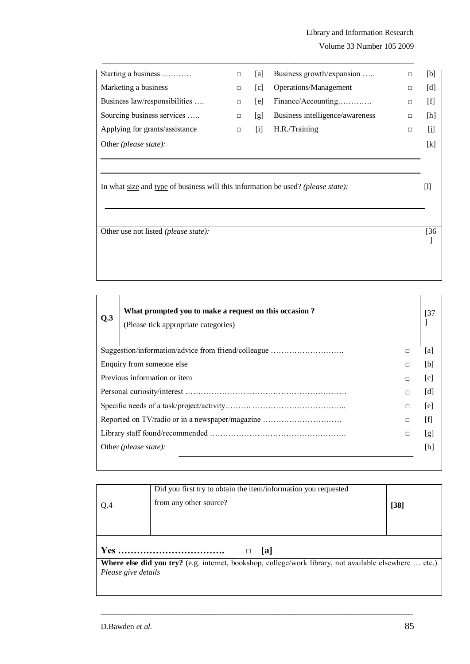# Library and Information Research

Volume 33 Number 105 2009

| Starting a business            | $\Box$                                                                                         | lal  | Business growth/expansion       | $\Box$ | [b]   |  |  |
|--------------------------------|------------------------------------------------------------------------------------------------|------|---------------------------------|--------|-------|--|--|
| Marketing a business           | $\Box$                                                                                         | [c]  | Operations/Management           | $\Box$ | $[d]$ |  |  |
| Business law/responsibilities  | $\Box$                                                                                         | le l | Finance/Accounting              | $\Box$ | $[f]$ |  |  |
| Sourcing business services     | $\Box$                                                                                         | lgl  | Business intelligence/awareness | $\Box$ | [h]   |  |  |
| Applying for grants/assistance | $\Box$                                                                                         | i    | H.R./Training                   | $\Box$ | IJ    |  |  |
| Other ( <i>please state</i> ): |                                                                                                |      |                                 |        |       |  |  |
|                                |                                                                                                |      |                                 |        |       |  |  |
|                                | In what size and type of business will this information be used? ( <i>please state</i> ):<br>Ш |      |                                 |        |       |  |  |

\_\_\_\_\_\_\_\_\_\_\_\_\_\_\_\_\_\_\_\_\_\_\_\_\_\_\_\_\_\_\_\_\_\_\_\_\_\_\_\_\_\_\_\_\_\_\_\_\_\_\_\_\_\_\_\_\_\_\_\_\_\_\_\_\_\_\_\_\_\_\_\_\_\_\_\_\_\_\_

Other use not listed *(please state)*: [36]

| Q.3                                    | What prompted you to make a request on this occasion?<br>(Please tick appropriate categories) |        | $\sqrt{37}$ |
|----------------------------------------|-----------------------------------------------------------------------------------------------|--------|-------------|
|                                        | Suggestion/information/advice from friend/colleague                                           | $\Box$ | [a]         |
| Enquiry from someone else<br>$\Box$    |                                                                                               |        | [b]         |
| Previous information or item<br>$\Box$ |                                                                                               |        | [c]         |
| $\Box$                                 |                                                                                               |        | [d]         |
| $\Box$                                 |                                                                                               |        | [e]         |
|                                        | $\Box$                                                                                        |        | $[f]$       |
| $\Box$                                 |                                                                                               |        | [g]         |
| Other ( <i>please state</i> ):         |                                                                                               |        | [h]         |

| Q.4                                                                                                                           | Did you first try to obtain the item/information you requested<br>from any other source? | $[38]$ |  |  |
|-------------------------------------------------------------------------------------------------------------------------------|------------------------------------------------------------------------------------------|--------|--|--|
| a <br>□                                                                                                                       |                                                                                          |        |  |  |
| Where else did you try? (e.g. internet, bookshop, college/work library, not available elsewhere  etc.)<br>Please give details |                                                                                          |        |  |  |

\_\_\_\_\_\_\_\_\_\_\_\_\_\_\_\_\_\_\_\_\_\_\_\_\_\_\_\_\_\_\_\_\_\_\_\_\_\_\_\_\_\_\_\_\_\_\_\_\_\_\_\_\_\_\_\_\_\_\_\_\_\_\_\_\_\_\_\_\_\_\_\_\_\_\_\_\_\_\_

]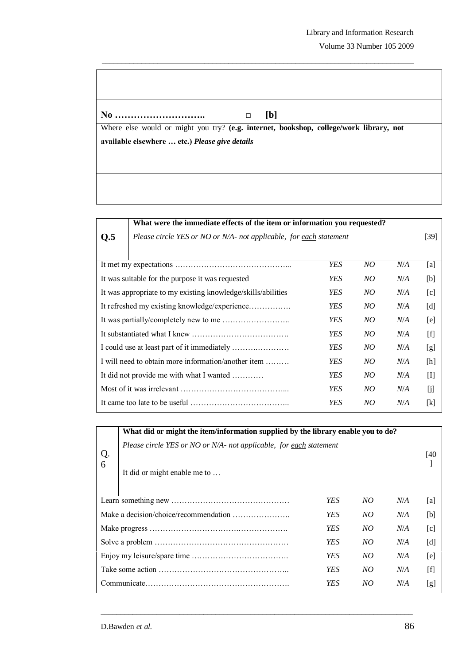**No ………………………..** *□* **[b]**

\_\_\_\_\_\_\_\_\_\_\_\_\_\_\_\_\_\_\_\_\_\_\_\_\_\_\_\_\_\_\_\_\_\_\_\_\_\_\_\_\_\_\_\_\_\_\_\_\_\_\_\_\_\_\_\_\_\_\_\_\_\_\_\_\_\_\_\_\_\_\_\_\_\_\_\_\_\_\_

Where else would or might you try? (e.g. internet, bookshop, college/work library, not **available elsewhere … etc.)** *Please give details*

|                                                                     | What were the immediate effects of the item or information you requested?      |            |       |     |     |
|---------------------------------------------------------------------|--------------------------------------------------------------------------------|------------|-------|-----|-----|
| Q.5                                                                 | Please circle YES or NO or N/A- not applicable, for each statement             |            |       |     |     |
|                                                                     |                                                                                |            |       |     |     |
|                                                                     |                                                                                | <b>YES</b> | NO    | N/A | [a] |
|                                                                     | It was suitable for the purpose it was requested                               | <b>YES</b> | NO    | N/A | [b] |
|                                                                     | It was appropriate to my existing knowledge/skills/abilities                   | <b>YES</b> | NO    | N/A | [c] |
| <b>YES</b><br>NO<br>N/A                                             |                                                                                |            |       |     | [d] |
| <b>YES</b><br>NO<br>N/A                                             |                                                                                |            |       | [e] |     |
| <b>YES</b><br>NO<br>N/A                                             |                                                                                |            | $[f]$ |     |     |
| <b>YES</b><br>NO<br>N/A                                             |                                                                                |            | [g]   |     |     |
|                                                                     | I will need to obtain more information/another item<br><b>YES</b><br>N/A<br>NO |            | [h]   |     |     |
| It did not provide me with what I wanted<br><b>YES</b><br>NO<br>N/A |                                                                                | $[1]$      |       |     |     |
| <b>YES</b><br>NO<br>N/A                                             |                                                                                | [j]        |       |     |     |
| <b>YES</b><br>N/A<br>NO                                             |                                                                                |            |       | [k] |     |

|                          | What did or might the item/information supplied by the library enable you to do? |  |     |     |                   |  |
|--------------------------|----------------------------------------------------------------------------------|--|-----|-----|-------------------|--|
| Q.<br>6                  | Please circle YES or NO or N/A- not applicable, for each statement               |  |     |     |                   |  |
|                          | It did or might enable me to                                                     |  |     |     |                   |  |
| <b>YES</b><br>N/A<br>NO. |                                                                                  |  |     |     | [a]               |  |
| YES<br>NO.<br>N/A        |                                                                                  |  |     | [b] |                   |  |
| NO<br>YES<br>N/A         |                                                                                  |  |     |     | $\lceil c \rceil$ |  |
| <b>YES</b><br>NO<br>N/A  |                                                                                  |  |     |     | [d]               |  |
|                          | YES<br>NO<br>N/A                                                                 |  |     |     |                   |  |
| <b>YES</b><br>NO.<br>N/A |                                                                                  |  | [f] |     |                   |  |
|                          | YES<br>NO.<br>N/A                                                                |  |     |     |                   |  |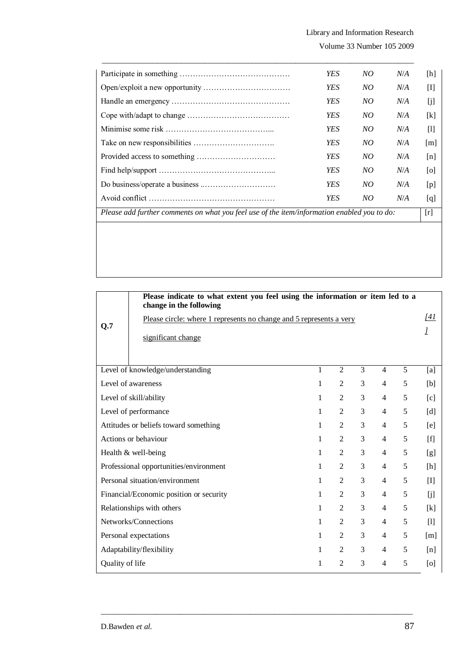|                                                                                             | <b>YES</b> | NO. | N/A | [h]                 |
|---------------------------------------------------------------------------------------------|------------|-----|-----|---------------------|
|                                                                                             | <b>YES</b> | NO. | N/A | Ш                   |
|                                                                                             | YES        | NO. | N/A | [j]                 |
|                                                                                             | YES        | NO  | N/A | [k]                 |
|                                                                                             | <b>YES</b> | NO. | N/A | $[1]$               |
|                                                                                             | <b>YES</b> | NO. | N/A | $\lceil m \rceil$   |
|                                                                                             | <b>YES</b> | NO. | N/A | $\lfloor n \rfloor$ |
|                                                                                             | <b>YES</b> | NO. | N/A | $\lceil$ o]         |
|                                                                                             | <b>YES</b> | NO. | N/A | [p]                 |
|                                                                                             | <b>YES</b> | NO  | N/A | q                   |
| Please add further comments on what you feel use of the item/information enabled you to do: |            |     |     | [r]                 |

\_\_\_\_\_\_\_\_\_\_\_\_\_\_\_\_\_\_\_\_\_\_\_\_\_\_\_\_\_\_\_\_\_\_\_\_\_\_\_\_\_\_\_\_\_\_\_\_\_\_\_\_\_\_\_\_\_\_\_\_\_\_\_\_\_\_\_\_\_\_\_\_\_\_\_\_\_\_\_

|                                                                                          | Please indicate to what extent you feel using the information or item led to a<br>change in the following |                |                |                |                |     |       |
|------------------------------------------------------------------------------------------|-----------------------------------------------------------------------------------------------------------|----------------|----------------|----------------|----------------|-----|-------|
|                                                                                          | Please circle: where 1 represents no change and 5 represents a very                                       |                |                |                |                |     | [4]   |
| Q.7                                                                                      | significant change                                                                                        |                |                |                |                |     | L     |
|                                                                                          | Level of knowledge/understanding                                                                          | 1              | 2              | 3              | $\overline{4}$ | 5   | [a]   |
|                                                                                          | Level of awareness                                                                                        | 1              | 2              | 3              | $\overline{4}$ | 5   | [b]   |
|                                                                                          | Level of skill/ability                                                                                    | 1              | $\overline{2}$ | 3              | $\overline{4}$ | 5   | [c]   |
|                                                                                          | Level of performance                                                                                      | 1              | $\overline{2}$ | 3              | $\overline{4}$ | 5   | [d]   |
| 3<br>$\overline{2}$<br>5<br>Attitudes or beliefs toward something<br>1<br>$\overline{4}$ |                                                                                                           |                | [e]            |                |                |     |       |
| 3<br>5<br>Actions or behaviour<br>$\overline{2}$<br>1<br>$\overline{4}$                  |                                                                                                           |                | $[f]$          |                |                |     |       |
| $\overline{2}$<br>3<br>1<br>Health & well-being<br>$\overline{4}$                        |                                                                                                           | 5              | [g]            |                |                |     |       |
|                                                                                          | Professional opportunities/environment                                                                    | 1              | 2              | 3              | $\overline{4}$ | 5   | [h]   |
|                                                                                          | Personal situation/environment                                                                            | 1              | $\overline{2}$ | 3              | $\overline{4}$ | 5   | $[1]$ |
|                                                                                          | Financial/Economic position or security                                                                   | 1              | $\overline{2}$ | 3              | $\overline{4}$ | 5   | [j]   |
|                                                                                          | Relationships with others                                                                                 | $\mathbf{1}$   | $\overline{2}$ | 3              | $\overline{4}$ | 5   | [k]   |
| Networks/Connections<br>$\overline{2}$<br>3<br>1<br>$\overline{4}$                       |                                                                                                           |                | 5              | $[1]$          |                |     |       |
| 3<br>2<br>Personal expectations<br>1<br>$\overline{4}$                                   |                                                                                                           | 5              | [m]            |                |                |     |       |
| Adaptability/flexibility<br>1                                                            |                                                                                                           | $\overline{2}$ | 3              | $\overline{4}$ | 5              | [n] |       |
| 5<br>Quality of life<br>1<br>2<br>3<br>4                                                 |                                                                                                           |                | [0]            |                |                |     |       |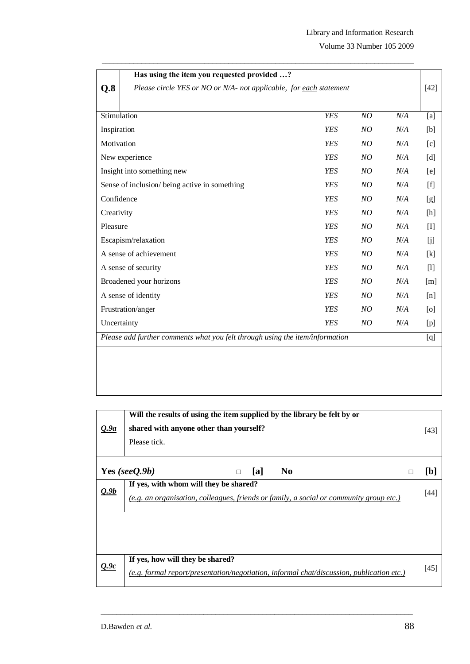Volume 33 Number 105 2009

|                                                                              | Has using the item you requested provided ?                        |            |             |     |                                                                                                                                                                                                                                                                                                                                                                                                                                                                                                                                                                                                                                                                                                                                                                                                                                                                                                                                   |
|------------------------------------------------------------------------------|--------------------------------------------------------------------|------------|-------------|-----|-----------------------------------------------------------------------------------------------------------------------------------------------------------------------------------------------------------------------------------------------------------------------------------------------------------------------------------------------------------------------------------------------------------------------------------------------------------------------------------------------------------------------------------------------------------------------------------------------------------------------------------------------------------------------------------------------------------------------------------------------------------------------------------------------------------------------------------------------------------------------------------------------------------------------------------|
| Q.8                                                                          | Please circle YES or NO or N/A- not applicable, for each statement |            |             |     | $[42]$                                                                                                                                                                                                                                                                                                                                                                                                                                                                                                                                                                                                                                                                                                                                                                                                                                                                                                                            |
|                                                                              |                                                                    |            |             |     |                                                                                                                                                                                                                                                                                                                                                                                                                                                                                                                                                                                                                                                                                                                                                                                                                                                                                                                                   |
|                                                                              | Stimulation<br><b>YES</b><br>NO<br>N/A                             |            |             |     | [a]                                                                                                                                                                                                                                                                                                                                                                                                                                                                                                                                                                                                                                                                                                                                                                                                                                                                                                                               |
| Inspiration                                                                  |                                                                    | <b>YES</b> | NO          | N/A | [b]                                                                                                                                                                                                                                                                                                                                                                                                                                                                                                                                                                                                                                                                                                                                                                                                                                                                                                                               |
| Motivation                                                                   |                                                                    | <b>YES</b> | NO          | N/A | [c]                                                                                                                                                                                                                                                                                                                                                                                                                                                                                                                                                                                                                                                                                                                                                                                                                                                                                                                               |
|                                                                              | New experience                                                     | <b>YES</b> | NO          | N/A | [d]                                                                                                                                                                                                                                                                                                                                                                                                                                                                                                                                                                                                                                                                                                                                                                                                                                                                                                                               |
|                                                                              | Insight into something new                                         | <b>YES</b> | NO          | N/A | [e]                                                                                                                                                                                                                                                                                                                                                                                                                                                                                                                                                                                                                                                                                                                                                                                                                                                                                                                               |
|                                                                              | Sense of inclusion/ being active in something                      | <b>YES</b> | NO          | N/A | ſfΙ                                                                                                                                                                                                                                                                                                                                                                                                                                                                                                                                                                                                                                                                                                                                                                                                                                                                                                                               |
| Confidence<br><b>YES</b><br>N/A<br>NO                                        |                                                                    |            | [g]         |     |                                                                                                                                                                                                                                                                                                                                                                                                                                                                                                                                                                                                                                                                                                                                                                                                                                                                                                                                   |
| Creativity                                                                   |                                                                    | <b>YES</b> | NO          | N/A | [h]                                                                                                                                                                                                                                                                                                                                                                                                                                                                                                                                                                                                                                                                                                                                                                                                                                                                                                                               |
| Pleasure                                                                     |                                                                    | <b>YES</b> | NO          | N/A | $\prod$                                                                                                                                                                                                                                                                                                                                                                                                                                                                                                                                                                                                                                                                                                                                                                                                                                                                                                                           |
| Escapism/relaxation                                                          |                                                                    | <b>YES</b> | NO          | N/A | [j]                                                                                                                                                                                                                                                                                                                                                                                                                                                                                                                                                                                                                                                                                                                                                                                                                                                                                                                               |
|                                                                              | A sense of achievement                                             | <b>YES</b> | NO          | N/A | [k]                                                                                                                                                                                                                                                                                                                                                                                                                                                                                                                                                                                                                                                                                                                                                                                                                                                                                                                               |
|                                                                              | A sense of security                                                | <b>YES</b> | NO          | N/A | $[1] % \centering \includegraphics[width=0.9\columnwidth]{figures/fig_10.pdf} \caption{The figure shows the number of times of the estimators in the right, the number of times of the right, the number of times of the right, the number of times of the right, the number of times of the right, the number of times of the right, the number of times of the right, the number of times of the right, the number of times of the right, the number of times of the right, the number of times of the right, the number of times of the right, the number of times of the right, the number of times of the right, the number of times of the right, the number of times of the right, the number of times of the right, the number of times of the right, the number of times of the right, the number of times of the right, the number of times of the right, the number of times of the right, the number of times of the$ |
|                                                                              | Broadened your horizons                                            | <b>YES</b> | NO          | N/A | [m]                                                                                                                                                                                                                                                                                                                                                                                                                                                                                                                                                                                                                                                                                                                                                                                                                                                                                                                               |
|                                                                              | A sense of identity<br><b>YES</b><br>NO<br>N/A                     |            |             | [n] |                                                                                                                                                                                                                                                                                                                                                                                                                                                                                                                                                                                                                                                                                                                                                                                                                                                                                                                                   |
| <b>YES</b><br>Frustration/anger<br>NO<br>N/A                                 |                                                                    |            | $\lceil$ o] |     |                                                                                                                                                                                                                                                                                                                                                                                                                                                                                                                                                                                                                                                                                                                                                                                                                                                                                                                                   |
|                                                                              | Uncertainty<br><b>YES</b><br>N/A<br>NO                             |            |             | [p] |                                                                                                                                                                                                                                                                                                                                                                                                                                                                                                                                                                                                                                                                                                                                                                                                                                                                                                                                   |
| Please add further comments what you felt through using the item/information |                                                                    |            |             |     | [q]                                                                                                                                                                                                                                                                                                                                                                                                                                                                                                                                                                                                                                                                                                                                                                                                                                                                                                                               |
|                                                                              |                                                                    |            |             |     |                                                                                                                                                                                                                                                                                                                                                                                                                                                                                                                                                                                                                                                                                                                                                                                                                                                                                                                                   |

\_\_\_\_\_\_\_\_\_\_\_\_\_\_\_\_\_\_\_\_\_\_\_\_\_\_\_\_\_\_\_\_\_\_\_\_\_\_\_\_\_\_\_\_\_\_\_\_\_\_\_\_\_\_\_\_\_\_\_\_\_\_\_\_\_\_\_\_\_\_\_\_\_\_\_\_\_\_\_

|      | Will the results of using the item supplied by the library be felt by or                                                            |          |
|------|-------------------------------------------------------------------------------------------------------------------------------------|----------|
| Q.9a | shared with anyone other than yourself?                                                                                             | $[43]$   |
|      | Please tick.                                                                                                                        |          |
|      | Yes (see $Q.9b$ )<br>N <sub>0</sub><br>[a]<br>П                                                                                     | [b]<br>П |
| Q.9b | If yes, with whom will they be shared?<br>$(e.g. an organisation, colleagues, friends or family, a social or community group etc.)$ | $[44]$   |
|      |                                                                                                                                     |          |
| Q.9c | If yes, how will they be shared?<br>$(e.g. formal report/presentation/negotiation, informal chat/discussion, publication etc.)$     | $[45]$   |